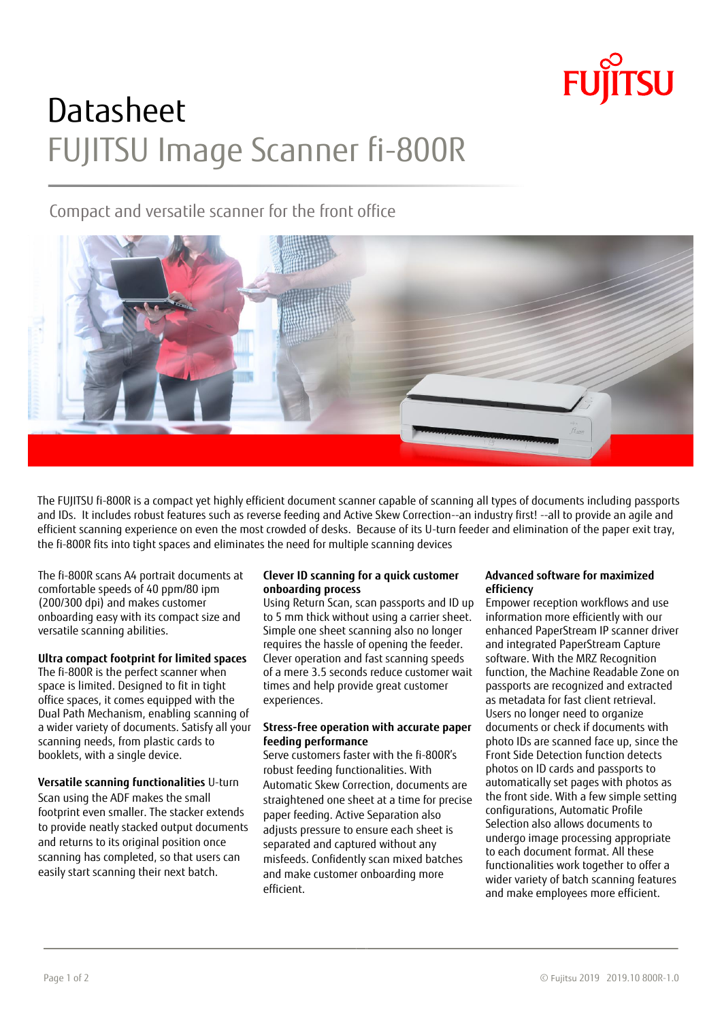

# **Datasheet** FUJITSU Image Scanner fi-800R

# Compact and versatile scanner for the front office



The FUJITSU fi-800R is a compact yet highly efficient document scanner capable of scanning all types of documents including passports and IDs. It includes robust features such as reverse feeding and Active Skew Correction--an industry first! --all to provide an agile and efficient scanning experience on even the most crowded of desks. Because of its U-turn feeder and elimination of the paper exit tray, the fi-800R fits into tight spaces and eliminates the need for multiple scanning devices

The fi-800R scans A4 portrait documents at comfortable speeds of 40 ppm/80 ipm (200/300 dpi) and makes customer onboarding easy with its compact size and versatile scanning abilities.

## **Ultra compact footprint for limited spaces**

The fi-800R is the perfect scanner when space is limited. Designed to fit in tight office spaces, it comes equipped with the Dual Path Mechanism, enabling scanning of a wider variety of documents. Satisfy all your scanning needs, from plastic cards to booklets, with a single device.

**Versatile scanning functionalities** U-turn Scan using the ADF makes the small footprint even smaller. The stacker extends to provide neatly stacked output documents and returns to its original position once scanning has completed, so that users can easily start scanning their next batch.

#### **Clever ID scanning for a quick customer onboarding process**

Using Return Scan, scan passports and ID up to 5 mm thick without using a carrier sheet. Simple one sheet scanning also no longer requires the hassle of opening the feeder. Clever operation and fast scanning speeds of a mere 3.5 seconds reduce customer wait times and help provide great customer experiences.

### **Stress-free operation with accurate paper feeding performance**

Serve customers faster with the fi-800R's robust feeding functionalities. With Automatic Skew Correction, documents are straightened one sheet at a time for precise paper feeding. Active Separation also adjusts pressure to ensure each sheet is separated and captured without any misfeeds. Confidently scan mixed batches and make customer onboarding more efficient.

#### **Advanced software for maximized efficiency**

Empower reception workflows and use information more efficiently with our enhanced PaperStream IP scanner driver and integrated PaperStream Capture software. With the MRZ Recognition function, the Machine Readable Zone on passports are recognized and extracted as metadata for fast client retrieval. Users no longer need to organize documents or check if documents with photo IDs are scanned face up, since the Front Side Detection function detects photos on ID cards and passports to automatically set pages with photos as the front side. With a few simple setting configurations, Automatic Profile Selection also allows documents to undergo image processing appropriate to each document format. All these functionalities work together to offer a wider variety of batch scanning features and make employees more efficient.